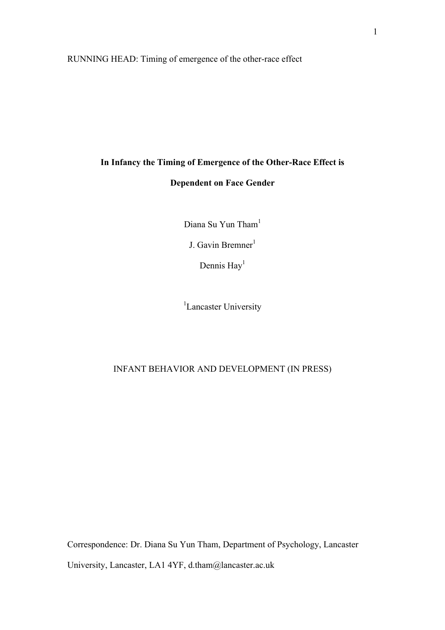RUNNING HEAD: Timing of emergence of the other-race effect

# **In Infancy the Timing of Emergence of the Other-Race Effect is Dependent on Face Gender**

Diana Su Yun Tham<sup>1</sup>

J. Gavin Bremner<sup>1</sup>

Dennis  $\text{Hay}^1$ 

<sup>1</sup>Lancaster University

# INFANT BEHAVIOR AND DEVELOPMENT (IN PRESS)

Correspondence: Dr. Diana Su Yun Tham, Department of Psychology, Lancaster University, Lancaster, LA1 4YF, d.tham@lancaster.ac.uk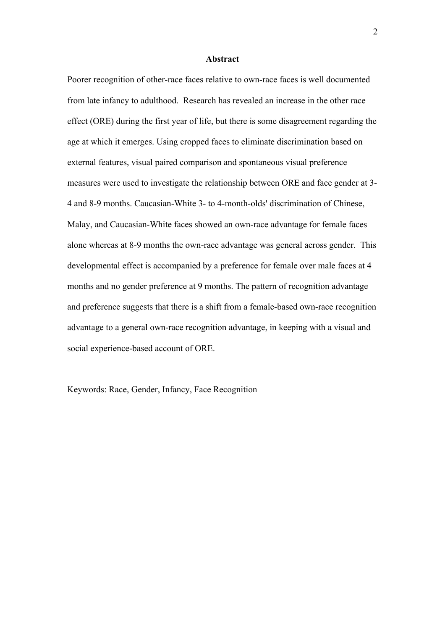#### **Abstract**

Poorer recognition of other-race faces relative to own-race faces is well documented from late infancy to adulthood. Research has revealed an increase in the other race effect (ORE) during the first year of life, but there is some disagreement regarding the age at which it emerges. Using cropped faces to eliminate discrimination based on external features, visual paired comparison and spontaneous visual preference measures were used to investigate the relationship between ORE and face gender at 3- 4 and 8-9 months. Caucasian-White 3- to 4-month-olds' discrimination of Chinese, Malay, and Caucasian-White faces showed an own-race advantage for female faces alone whereas at 8-9 months the own-race advantage was general across gender. This developmental effect is accompanied by a preference for female over male faces at 4 months and no gender preference at 9 months. The pattern of recognition advantage and preference suggests that there is a shift from a female-based own-race recognition advantage to a general own-race recognition advantage, in keeping with a visual and social experience-based account of ORE.

Keywords: Race, Gender, Infancy, Face Recognition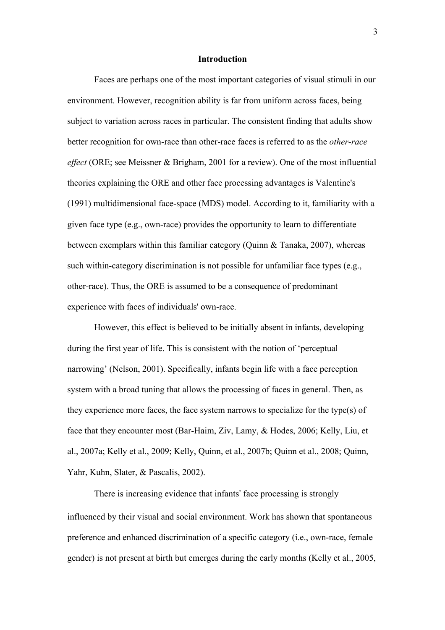#### **Introduction**

Faces are perhaps one of the most important categories of visual stimuli in our environment. However, recognition ability is far from uniform across faces, being subject to variation across races in particular. The consistent finding that adults show better recognition for own-race than other-race faces is referred to as the *other-race effect* (ORE; see Meissner & Brigham, 2001 for a review). One of the most influential theories explaining the ORE and other face processing advantages is Valentine's (1991) multidimensional face-space (MDS) model. According to it, familiarity with a given face type (e.g., own-race) provides the opportunity to learn to differentiate between exemplars within this familiar category (Quinn & Tanaka, 2007), whereas such within-category discrimination is not possible for unfamiliar face types (e.g., other-race). Thus, the ORE is assumed to be a consequence of predominant experience with faces of individuals' own-race.

However, this effect is believed to be initially absent in infants, developing during the first year of life. This is consistent with the notion of 'perceptual narrowing' (Nelson, 2001). Specifically, infants begin life with a face perception system with a broad tuning that allows the processing of faces in general. Then, as they experience more faces, the face system narrows to specialize for the type(s) of face that they encounter most (Bar-Haim, Ziv, Lamy, & Hodes, 2006; Kelly, Liu, et al., 2007a; Kelly et al., 2009; Kelly, Quinn, et al., 2007b; Quinn et al., 2008; Quinn, Yahr, Kuhn, Slater, & Pascalis, 2002).

There is increasing evidence that infants' face processing is strongly influenced by their visual and social environment. Work has shown that spontaneous preference and enhanced discrimination of a specific category (i.e., own-race, female gender) is not present at birth but emerges during the early months (Kelly et al., 2005,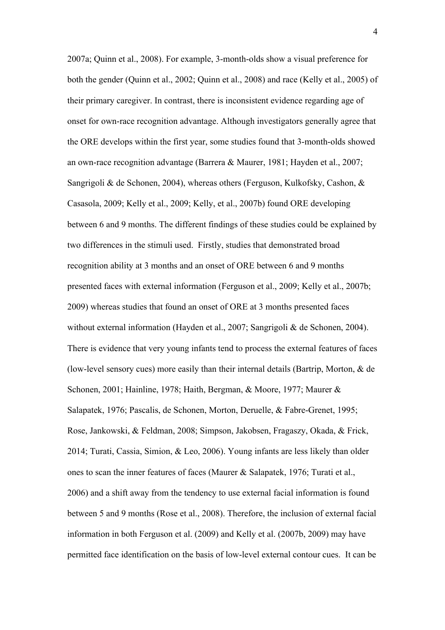2007a; Quinn et al., 2008). For example, 3-month-olds show a visual preference for both the gender (Quinn et al., 2002; Quinn et al., 2008) and race (Kelly et al., 2005) of their primary caregiver. In contrast, there is inconsistent evidence regarding age of onset for own-race recognition advantage. Although investigators generally agree that the ORE develops within the first year, some studies found that 3-month-olds showed an own-race recognition advantage (Barrera & Maurer, 1981; Hayden et al., 2007; Sangrigoli & de Schonen, 2004), whereas others (Ferguson, Kulkofsky, Cashon, & Casasola, 2009; Kelly et al., 2009; Kelly, et al., 2007b) found ORE developing between 6 and 9 months. The different findings of these studies could be explained by two differences in the stimuli used. Firstly, studies that demonstrated broad recognition ability at 3 months and an onset of ORE between 6 and 9 months presented faces with external information (Ferguson et al., 2009; Kelly et al., 2007b; 2009) whereas studies that found an onset of ORE at 3 months presented faces without external information (Hayden et al., 2007; Sangrigoli & de Schonen, 2004). There is evidence that very young infants tend to process the external features of faces (low-level sensory cues) more easily than their internal details (Bartrip, Morton, & de Schonen, 2001; Hainline, 1978; Haith, Bergman, & Moore, 1977; Maurer & Salapatek, 1976; Pascalis, de Schonen, Morton, Deruelle, & Fabre-Grenet, 1995; Rose, Jankowski, & Feldman, 2008; Simpson, Jakobsen, Fragaszy, Okada, & Frick, 2014; Turati, Cassia, Simion, & Leo, 2006). Young infants are less likely than older ones to scan the inner features of faces (Maurer & Salapatek, 1976; Turati et al., 2006) and a shift away from the tendency to use external facial information is found between 5 and 9 months (Rose et al., 2008). Therefore, the inclusion of external facial information in both Ferguson et al. (2009) and Kelly et al. (2007b, 2009) may have permitted face identification on the basis of low-level external contour cues. It can be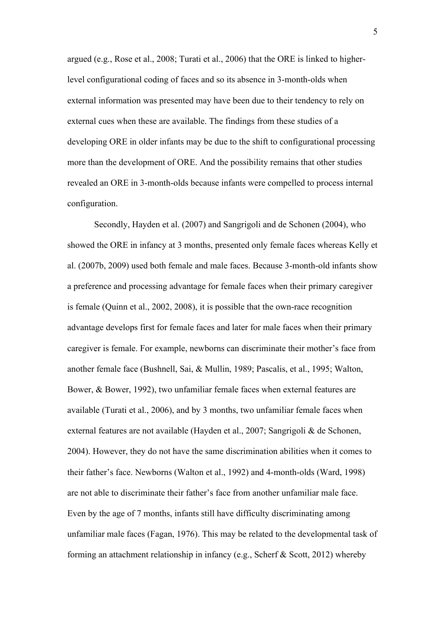argued (e.g., Rose et al., 2008; Turati et al., 2006) that the ORE is linked to higherlevel configurational coding of faces and so its absence in 3-month-olds when external information was presented may have been due to their tendency to rely on external cues when these are available. The findings from these studies of a developing ORE in older infants may be due to the shift to configurational processing more than the development of ORE. And the possibility remains that other studies revealed an ORE in 3-month-olds because infants were compelled to process internal configuration.

Secondly, Hayden et al. (2007) and Sangrigoli and de Schonen (2004), who showed the ORE in infancy at 3 months, presented only female faces whereas Kelly et al. (2007b, 2009) used both female and male faces. Because 3-month-old infants show a preference and processing advantage for female faces when their primary caregiver is female (Quinn et al., 2002, 2008), it is possible that the own-race recognition advantage develops first for female faces and later for male faces when their primary caregiver is female. For example, newborns can discriminate their mother's face from another female face (Bushnell, Sai, & Mullin, 1989; Pascalis, et al., 1995; Walton, Bower, & Bower, 1992), two unfamiliar female faces when external features are available (Turati et al., 2006), and by 3 months, two unfamiliar female faces when external features are not available (Hayden et al., 2007; Sangrigoli & de Schonen, 2004). However, they do not have the same discrimination abilities when it comes to their father's face. Newborns (Walton et al., 1992) and 4-month-olds (Ward, 1998) are not able to discriminate their father's face from another unfamiliar male face. Even by the age of 7 months, infants still have difficulty discriminating among unfamiliar male faces (Fagan, 1976). This may be related to the developmental task of forming an attachment relationship in infancy (e.g., Scherf & Scott, 2012) whereby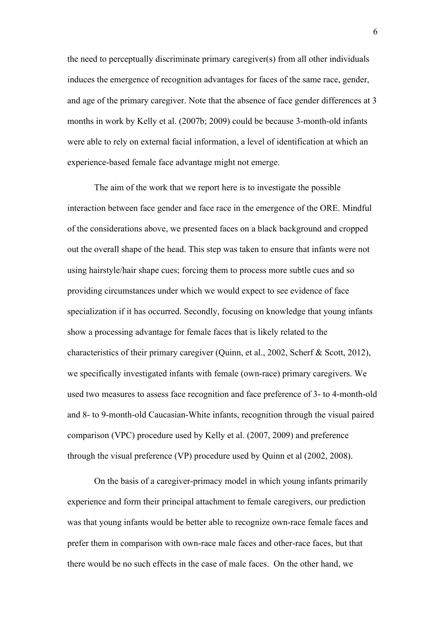the need to perceptually discriminate primary caregiver(s) from all other individuals induces the emergence of recognition advantages for faces of the same race, gender, and age of the primary caregiver. Note that the absence of face gender differences at 3 months in work by Kelly et al. (2007b; 2009) could be because 3-month-old infants were able to rely on external facial information, a level of identification at which an experience-based female face advantage might not emerge.

The aim of the work that we report here is to investigate the possible interaction between face gender and face race in the emergence of the ORE. Mindful of the considerations above, we presented faces on a black background and cropped out the overall shape of the head. This step was taken to ensure that infants were not using hairstyle/hair shape cues; forcing them to process more subtle cues and so providing circumstances under which we would expect to see evidence of face specialization if it has occurred. Secondly, focusing on knowledge that young infants show a processing advantage for female faces that is likely related to the characteristics of their primary caregiver (Quinn, et al., 2002, Scherf & Scott, 2012), we specifically investigated infants with female (own-race) primary caregivers. We used two measures to assess face recognition and face preference of 3- to 4-month-old and 8- to 9-month-old Caucasian-White infants, recognition through the visual paired comparison (VPC) procedure used by Kelly et al. (2007, 2009) and preference through the visual preference (VP) procedure used by Quinn et al (2002, 2008).

On the basis of a caregiver-primacy model in which young infants primarily experience and form their principal attachment to female caregivers, our prediction was that young infants would be better able to recognize own-race female faces and prefer them in comparison with own-race male faces and other-race faces, but that there would be no such effects in the case of male faces. On the other hand, we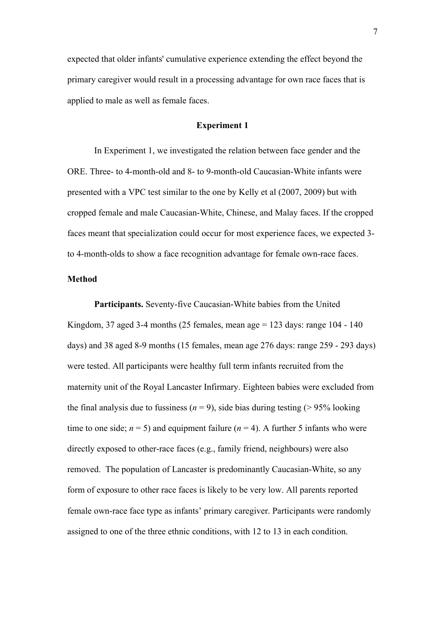expected that older infants' cumulative experience extending the effect beyond the primary caregiver would result in a processing advantage for own race faces that is applied to male as well as female faces.

# **Experiment 1**

In Experiment 1, we investigated the relation between face gender and the ORE. Three- to 4-month-old and 8- to 9-month-old Caucasian-White infants were presented with a VPC test similar to the one by Kelly et al (2007, 2009) but with cropped female and male Caucasian-White, Chinese, and Malay faces. If the cropped faces meant that specialization could occur for most experience faces, we expected 3 to 4-month-olds to show a face recognition advantage for female own-race faces.

# **Method**

**Participants.** Seventy-five Caucasian-White babies from the United Kingdom, 37 aged 3-4 months (25 females, mean age = 123 days: range 104 - 140 days) and 38 aged 8-9 months (15 females, mean age 276 days: range 259 - 293 days) were tested. All participants were healthy full term infants recruited from the maternity unit of the Royal Lancaster Infirmary. Eighteen babies were excluded from the final analysis due to fussiness  $(n = 9)$ , side bias during testing ( $> 95\%$  looking time to one side;  $n = 5$ ) and equipment failure ( $n = 4$ ). A further 5 infants who were directly exposed to other-race faces (e.g., family friend, neighbours) were also removed. The population of Lancaster is predominantly Caucasian-White, so any form of exposure to other race faces is likely to be very low. All parents reported female own-race face type as infants' primary caregiver. Participants were randomly assigned to one of the three ethnic conditions, with 12 to 13 in each condition.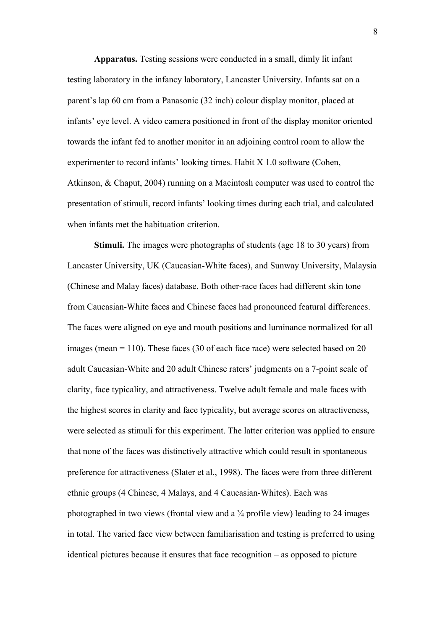**Apparatus.** Testing sessions were conducted in a small, dimly lit infant testing laboratory in the infancy laboratory, Lancaster University. Infants sat on a parent's lap 60 cm from a Panasonic (32 inch) colour display monitor, placed at infants' eye level. A video camera positioned in front of the display monitor oriented towards the infant fed to another monitor in an adjoining control room to allow the experimenter to record infants' looking times. Habit X 1.0 software (Cohen, Atkinson, & Chaput, 2004) running on a Macintosh computer was used to control the presentation of stimuli, record infants' looking times during each trial, and calculated when infants met the habituation criterion.

**Stimuli.** The images were photographs of students (age 18 to 30 years) from Lancaster University, UK (Caucasian-White faces), and Sunway University, Malaysia (Chinese and Malay faces) database. Both other-race faces had different skin tone from Caucasian-White faces and Chinese faces had pronounced featural differences. The faces were aligned on eye and mouth positions and luminance normalized for all images (mean  $= 110$ ). These faces (30 of each face race) were selected based on 20 adult Caucasian-White and 20 adult Chinese raters' judgments on a 7-point scale of clarity, face typicality, and attractiveness. Twelve adult female and male faces with the highest scores in clarity and face typicality, but average scores on attractiveness, were selected as stimuli for this experiment. The latter criterion was applied to ensure that none of the faces was distinctively attractive which could result in spontaneous preference for attractiveness (Slater et al., 1998). The faces were from three different ethnic groups (4 Chinese, 4 Malays, and 4 Caucasian-Whites). Each was photographed in two views (frontal view and a  $\frac{3}{4}$  profile view) leading to 24 images in total. The varied face view between familiarisation and testing is preferred to using identical pictures because it ensures that face recognition – as opposed to picture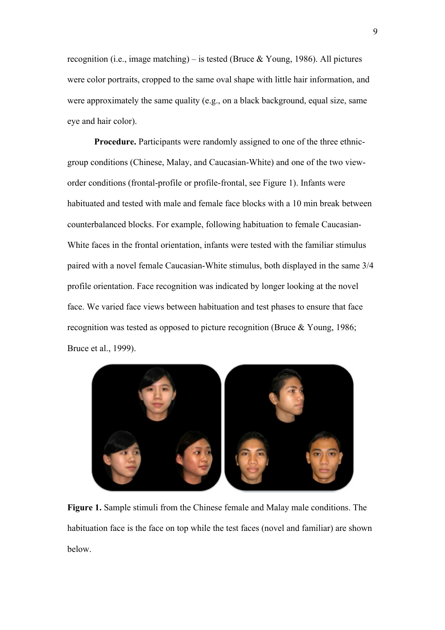recognition (i.e., image matching) – is tested (Bruce  $& Young, 1986$ ). All pictures were color portraits, cropped to the same oval shape with little hair information, and were approximately the same quality (e.g., on a black background, equal size, same eye and hair color).

**Procedure.** Participants were randomly assigned to one of the three ethnicgroup conditions (Chinese, Malay, and Caucasian-White) and one of the two vieworder conditions (frontal-profile or profile-frontal, see Figure 1). Infants were habituated and tested with male and female face blocks with a 10 min break between counterbalanced blocks. For example, following habituation to female Caucasian-White faces in the frontal orientation, infants were tested with the familiar stimulus paired with a novel female Caucasian-White stimulus, both displayed in the same 3/4 profile orientation. Face recognition was indicated by longer looking at the novel face. We varied face views between habituation and test phases to ensure that face recognition was tested as opposed to picture recognition (Bruce & Young, 1986; Bruce et al., 1999).



**Figure 1.** Sample stimuli from the Chinese female and Malay male conditions. The habituation face is the face on top while the test faces (novel and familiar) are shown below.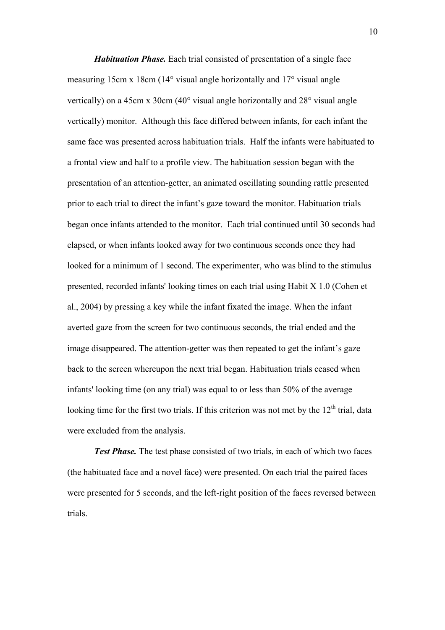*Habituation Phase.* Each trial consisted of presentation of a single face measuring 15cm x 18cm (14° visual angle horizontally and 17° visual angle vertically) on a 45cm x 30cm (40° visual angle horizontally and 28° visual angle vertically) monitor. Although this face differed between infants, for each infant the same face was presented across habituation trials. Half the infants were habituated to a frontal view and half to a profile view. The habituation session began with the presentation of an attention-getter, an animated oscillating sounding rattle presented prior to each trial to direct the infant's gaze toward the monitor. Habituation trials began once infants attended to the monitor. Each trial continued until 30 seconds had elapsed, or when infants looked away for two continuous seconds once they had looked for a minimum of 1 second. The experimenter, who was blind to the stimulus presented, recorded infants' looking times on each trial using Habit X 1.0 (Cohen et al., 2004) by pressing a key while the infant fixated the image. When the infant averted gaze from the screen for two continuous seconds, the trial ended and the image disappeared. The attention-getter was then repeated to get the infant's gaze back to the screen whereupon the next trial began. Habituation trials ceased when infants' looking time (on any trial) was equal to or less than 50% of the average looking time for the first two trials. If this criterion was not met by the  $12<sup>th</sup>$  trial, data were excluded from the analysis.

*Test Phase.* The test phase consisted of two trials, in each of which two faces (the habituated face and a novel face) were presented. On each trial the paired faces were presented for 5 seconds, and the left-right position of the faces reversed between trials.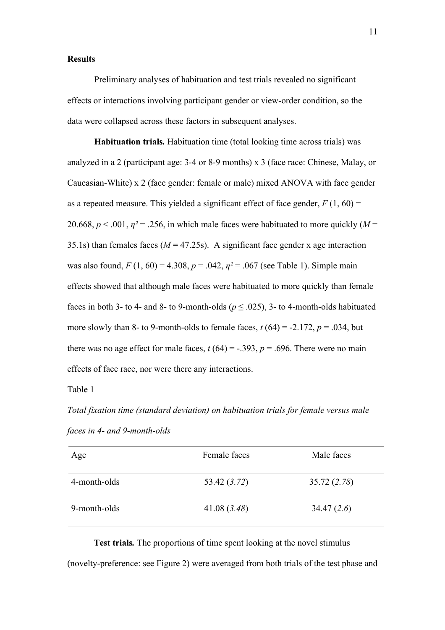# **Results**

Preliminary analyses of habituation and test trials revealed no significant effects or interactions involving participant gender or view-order condition, so the data were collapsed across these factors in subsequent analyses.

**Habituation trials***.* Habituation time (total looking time across trials) was analyzed in a 2 (participant age: 3-4 or 8-9 months) x 3 (face race: Chinese, Malay, or Caucasian-White) x 2 (face gender: female or male) mixed ANOVA with face gender as a repeated measure. This yielded a significant effect of face gender,  $F(1, 60) =$ 20.668,  $p < .001$ ,  $\eta^2 = .256$ , in which male faces were habituated to more quickly ( $M =$ 35.1s) than females faces  $(M = 47.25s)$ . A significant face gender x age interaction was also found,  $F(1, 60) = 4.308$ ,  $p = .042$ ,  $p^2 = .067$  (see Table 1). Simple main effects showed that although male faces were habituated to more quickly than female faces in both 3- to 4- and 8- to 9-month-olds ( $p \leq .025$ ), 3- to 4-month-olds habituated more slowly than 8- to 9-month-olds to female faces,  $t(64) = -2.172$ ,  $p = .034$ , but there was no age effect for male faces,  $t(64) = -0.393$ ,  $p = 0.696$ . There were no main effects of face race, nor were there any interactions.

Table 1

*Total fixation time (standard deviation) on habituation trials for female versus male faces in 4- and 9-month-olds*

| Age          | Female faces | Male faces   |
|--------------|--------------|--------------|
| 4-month-olds | 53.42 (3.72) | 35.72 (2.78) |
| 9-month-olds | 41.08(3.48)  | 34.47(2.6)   |

**Test trials***.* The proportions of time spent looking at the novel stimulus (novelty-preference: see Figure 2) were averaged from both trials of the test phase and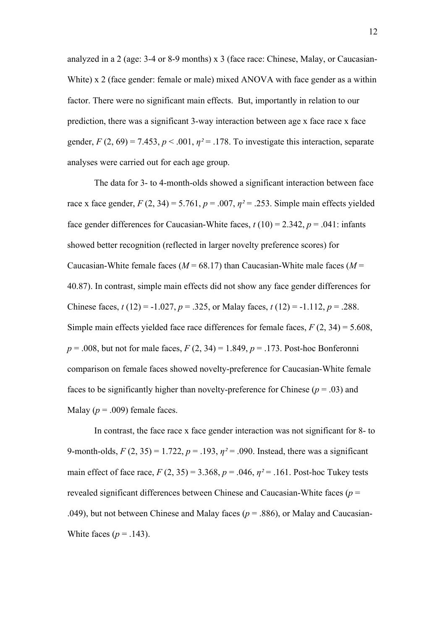analyzed in a 2 (age: 3-4 or 8-9 months) x 3 (face race: Chinese, Malay, or Caucasian-White) x 2 (face gender: female or male) mixed ANOVA with face gender as a within factor. There were no significant main effects. But, importantly in relation to our prediction, there was a significant 3-way interaction between age x face race x face gender,  $F(2, 69) = 7.453$ ,  $p < .001$ ,  $p<sup>2</sup> = .178$ . To investigate this interaction, separate analyses were carried out for each age group.

The data for 3- to 4-month-olds showed a significant interaction between face race x face gender,  $F(2, 34) = 5.761$ ,  $p = .007$ ,  $p^2 = .253$ . Simple main effects yielded face gender differences for Caucasian-White faces,  $t(10) = 2.342$ ,  $p = .041$ : infants showed better recognition (reflected in larger novelty preference scores) for Caucasian-White female faces ( $M = 68.17$ ) than Caucasian-White male faces ( $M =$ 40.87). In contrast, simple main effects did not show any face gender differences for Chinese faces,  $t(12) = -1.027$ ,  $p = 0.325$ , or Malay faces,  $t(12) = -1.112$ ,  $p = 0.288$ . Simple main effects yielded face race differences for female faces, *F* (2, 34) = 5.608, *p* = .008, but not for male faces, *F* (2, 34) = 1.849, *p* = .173. Post-hoc Bonferonni comparison on female faces showed novelty-preference for Caucasian-White female faces to be significantly higher than novelty-preference for Chinese ( $p = .03$ ) and Malay ( $p = .009$ ) female faces.

In contrast, the face race x face gender interaction was not significant for 8- to 9-month-olds,  $F(2, 35) = 1.722$ ,  $p = .193$ ,  $p^2 = .090$ . Instead, there was a significant main effect of face race,  $F(2, 35) = 3.368$ ,  $p = .046$ ,  $p^2 = .161$ . Post-hoc Tukey tests revealed significant differences between Chinese and Caucasian-White faces (*p* = .049), but not between Chinese and Malay faces ( $p = .886$ ), or Malay and Caucasian-White faces  $(p = .143)$ .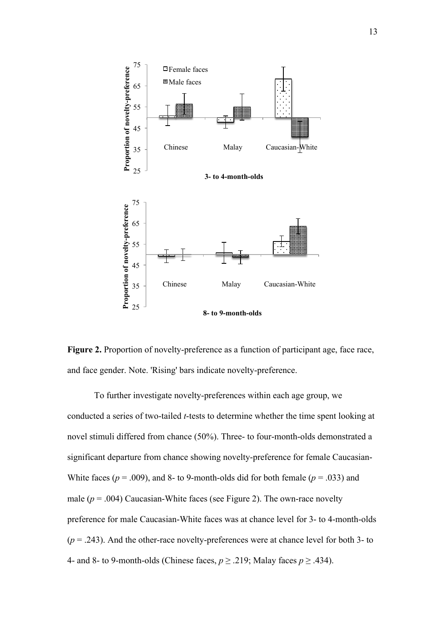



To further investigate novelty-preferences within each age group, we conducted a series of two-tailed *t*-tests to determine whether the time spent looking at novel stimuli differed from chance (50%). Three- to four-month-olds demonstrated a significant departure from chance showing novelty-preference for female Caucasian-White faces ( $p = .009$ ), and 8- to 9-month-olds did for both female ( $p = .033$ ) and male  $(p = .004)$  Caucasian-White faces (see Figure 2). The own-race novelty preference for male Caucasian-White faces was at chance level for 3- to 4-month-olds  $(p = .243)$ . And the other-race novelty-preferences were at chance level for both 3- to 4- and 8- to 9-month-olds (Chinese faces,  $p \ge 0.219$ ; Malay faces  $p \ge 0.434$ ).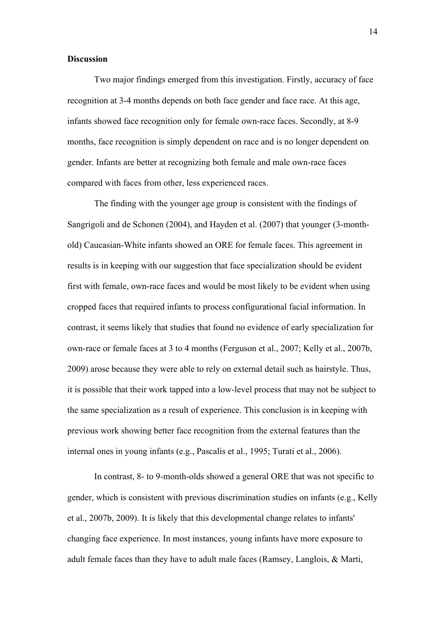# **Discussion**

Two major findings emerged from this investigation. Firstly, accuracy of face recognition at 3-4 months depends on both face gender and face race. At this age, infants showed face recognition only for female own-race faces. Secondly, at 8-9 months, face recognition is simply dependent on race and is no longer dependent on gender. Infants are better at recognizing both female and male own-race faces compared with faces from other, less experienced races.

The finding with the younger age group is consistent with the findings of Sangrigoli and de Schonen (2004), and Hayden et al. (2007) that younger (3-monthold) Caucasian-White infants showed an ORE for female faces. This agreement in results is in keeping with our suggestion that face specialization should be evident first with female, own-race faces and would be most likely to be evident when using cropped faces that required infants to process configurational facial information. In contrast, it seems likely that studies that found no evidence of early specialization for own-race or female faces at 3 to 4 months (Ferguson et al., 2007; Kelly et al., 2007b, 2009) arose because they were able to rely on external detail such as hairstyle. Thus, it is possible that their work tapped into a low-level process that may not be subject to the same specialization as a result of experience. This conclusion is in keeping with previous work showing better face recognition from the external features than the internal ones in young infants (e.g., Pascalis et al., 1995; Turati et al., 2006).

In contrast, 8- to 9-month-olds showed a general ORE that was not specific to gender, which is consistent with previous discrimination studies on infants (e.g., Kelly et al., 2007b, 2009). It is likely that this developmental change relates to infants' changing face experience. In most instances, young infants have more exposure to adult female faces than they have to adult male faces (Ramsey, Langlois, & Marti,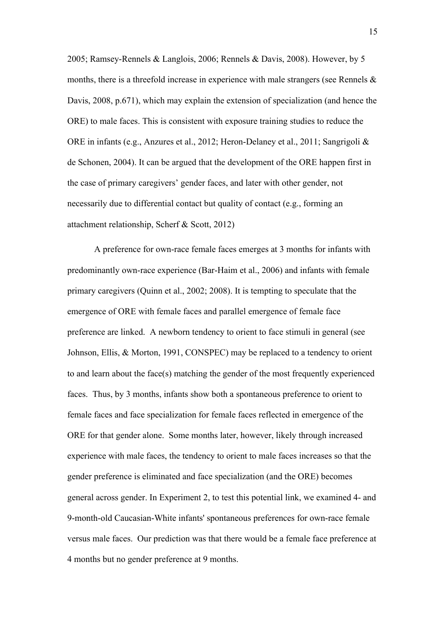2005; Ramsey-Rennels & Langlois, 2006; Rennels & Davis, 2008). However, by 5 months, there is a threefold increase in experience with male strangers (see Rennels  $\&$ Davis, 2008, p.671), which may explain the extension of specialization (and hence the ORE) to male faces. This is consistent with exposure training studies to reduce the ORE in infants (e.g., Anzures et al., 2012; Heron-Delaney et al., 2011; Sangrigoli & de Schonen, 2004). It can be argued that the development of the ORE happen first in the case of primary caregivers' gender faces, and later with other gender, not necessarily due to differential contact but quality of contact (e.g., forming an attachment relationship, Scherf & Scott, 2012)

A preference for own-race female faces emerges at 3 months for infants with predominantly own-race experience (Bar-Haim et al., 2006) and infants with female primary caregivers (Quinn et al., 2002; 2008). It is tempting to speculate that the emergence of ORE with female faces and parallel emergence of female face preference are linked. A newborn tendency to orient to face stimuli in general (see Johnson, Ellis, & Morton, 1991, CONSPEC) may be replaced to a tendency to orient to and learn about the face(s) matching the gender of the most frequently experienced faces. Thus, by 3 months, infants show both a spontaneous preference to orient to female faces and face specialization for female faces reflected in emergence of the ORE for that gender alone. Some months later, however, likely through increased experience with male faces, the tendency to orient to male faces increases so that the gender preference is eliminated and face specialization (and the ORE) becomes general across gender. In Experiment 2, to test this potential link, we examined 4- and 9-month-old Caucasian-White infants' spontaneous preferences for own-race female versus male faces. Our prediction was that there would be a female face preference at 4 months but no gender preference at 9 months.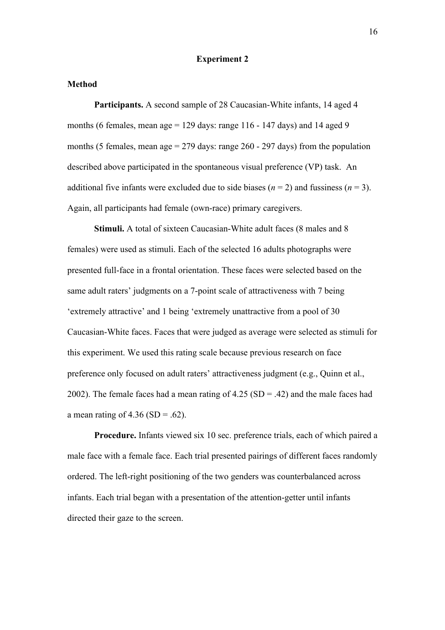# **Experiment 2**

#### **Method**

**Participants.** A second sample of 28 Caucasian-White infants, 14 aged 4 months (6 females, mean age = 129 days: range  $116 - 147$  days) and 14 aged 9 months (5 females, mean age  $= 279$  days: range 260 - 297 days) from the population described above participated in the spontaneous visual preference (VP) task. An additional five infants were excluded due to side biases ( $n = 2$ ) and fussiness ( $n = 3$ ). Again, all participants had female (own-race) primary caregivers.

**Stimuli.** A total of sixteen Caucasian-White adult faces (8 males and 8) females) were used as stimuli. Each of the selected 16 adults photographs were presented full-face in a frontal orientation. These faces were selected based on the same adult raters' judgments on a 7-point scale of attractiveness with 7 being 'extremely attractive' and 1 being 'extremely unattractive from a pool of 30 Caucasian-White faces. Faces that were judged as average were selected as stimuli for this experiment. We used this rating scale because previous research on face preference only focused on adult raters' attractiveness judgment (e.g., Quinn et al., 2002). The female faces had a mean rating of  $4.25$  (SD = .42) and the male faces had a mean rating of  $4.36$  (SD = .62).

**Procedure.** Infants viewed six 10 sec. preference trials, each of which paired a male face with a female face. Each trial presented pairings of different faces randomly ordered. The left-right positioning of the two genders was counterbalanced across infants. Each trial began with a presentation of the attention-getter until infants directed their gaze to the screen.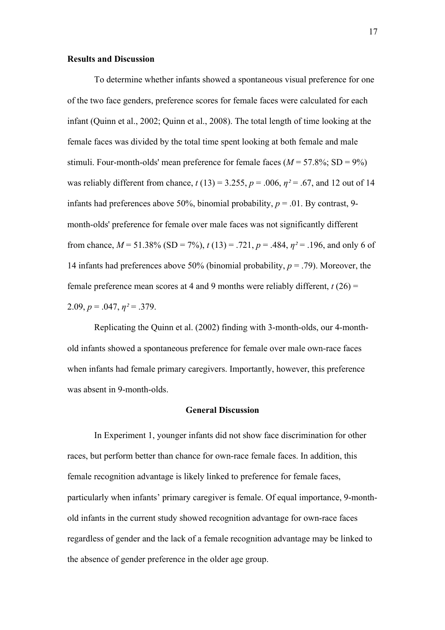#### **Results and Discussion**

To determine whether infants showed a spontaneous visual preference for one of the two face genders, preference scores for female faces were calculated for each infant (Quinn et al., 2002; Quinn et al., 2008). The total length of time looking at the female faces was divided by the total time spent looking at both female and male stimuli. Four-month-olds' mean preference for female faces  $(M = 57.8\%; SD = 9\%)$ was reliably different from chance,  $t(13) = 3.255$ ,  $p = .006$ ,  $\eta^2 = .67$ , and 12 out of 14 infants had preferences above 50%, binomial probability,  $p = .01$ . By contrast, 9month-olds' preference for female over male faces was not significantly different from chance,  $M = 51.38\%$  (SD = 7%),  $t(13) = .721$ ,  $p = .484$ ,  $\eta^2 = .196$ , and only 6 of 14 infants had preferences above 50% (binomial probability, *p* = .79). Moreover, the female preference mean scores at 4 and 9 months were reliably different,  $t(26)$  = 2.09,  $p = .047$ ,  $\eta^2 = .379$ .

Replicating the Quinn et al. (2002) finding with 3-month-olds, our 4-monthold infants showed a spontaneous preference for female over male own-race faces when infants had female primary caregivers. Importantly, however, this preference was absent in 9-month-olds.

## **General Discussion**

In Experiment 1, younger infants did not show face discrimination for other races, but perform better than chance for own-race female faces. In addition, this female recognition advantage is likely linked to preference for female faces, particularly when infants' primary caregiver is female. Of equal importance, 9-monthold infants in the current study showed recognition advantage for own-race faces regardless of gender and the lack of a female recognition advantage may be linked to the absence of gender preference in the older age group.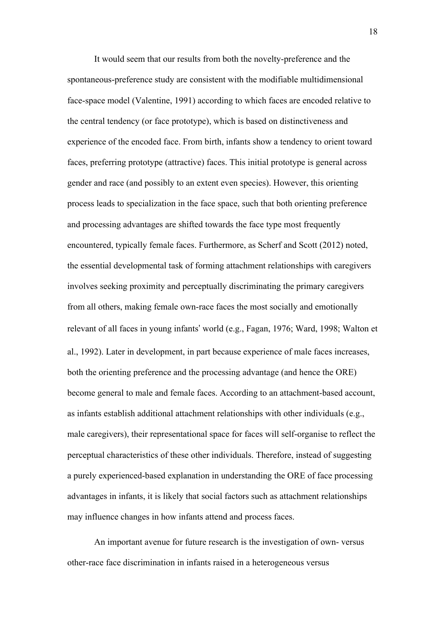It would seem that our results from both the novelty-preference and the spontaneous-preference study are consistent with the modifiable multidimensional face-space model (Valentine, 1991) according to which faces are encoded relative to the central tendency (or face prototype), which is based on distinctiveness and experience of the encoded face. From birth, infants show a tendency to orient toward faces, preferring prototype (attractive) faces. This initial prototype is general across gender and race (and possibly to an extent even species). However, this orienting process leads to specialization in the face space, such that both orienting preference and processing advantages are shifted towards the face type most frequently encountered, typically female faces. Furthermore, as Scherf and Scott (2012) noted, the essential developmental task of forming attachment relationships with caregivers involves seeking proximity and perceptually discriminating the primary caregivers from all others, making female own-race faces the most socially and emotionally relevant of all faces in young infants' world (e.g., Fagan, 1976; Ward, 1998; Walton et al., 1992). Later in development, in part because experience of male faces increases, both the orienting preference and the processing advantage (and hence the ORE) become general to male and female faces. According to an attachment-based account, as infants establish additional attachment relationships with other individuals (e.g., male caregivers), their representational space for faces will self-organise to reflect the perceptual characteristics of these other individuals. Therefore, instead of suggesting a purely experienced-based explanation in understanding the ORE of face processing advantages in infants, it is likely that social factors such as attachment relationships may influence changes in how infants attend and process faces.

An important avenue for future research is the investigation of own- versus other-race face discrimination in infants raised in a heterogeneous versus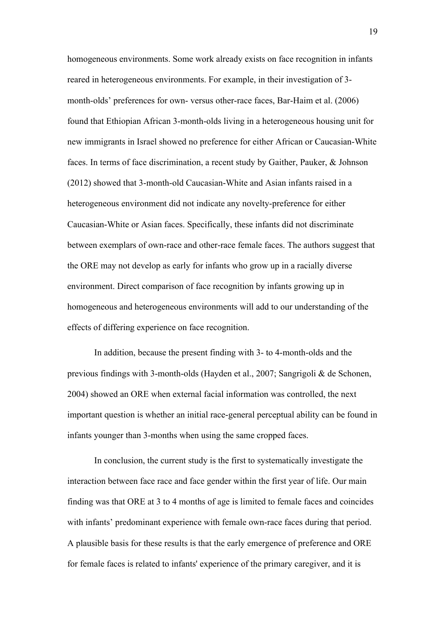homogeneous environments. Some work already exists on face recognition in infants reared in heterogeneous environments. For example, in their investigation of 3 month-olds' preferences for own- versus other-race faces, Bar-Haim et al. (2006) found that Ethiopian African 3-month-olds living in a heterogeneous housing unit for new immigrants in Israel showed no preference for either African or Caucasian-White faces. In terms of face discrimination, a recent study by Gaither, Pauker, & Johnson (2012) showed that 3-month-old Caucasian-White and Asian infants raised in a heterogeneous environment did not indicate any novelty-preference for either Caucasian-White or Asian faces. Specifically, these infants did not discriminate between exemplars of own-race and other-race female faces. The authors suggest that the ORE may not develop as early for infants who grow up in a racially diverse environment. Direct comparison of face recognition by infants growing up in homogeneous and heterogeneous environments will add to our understanding of the effects of differing experience on face recognition.

In addition, because the present finding with 3- to 4-month-olds and the previous findings with 3-month-olds (Hayden et al., 2007; Sangrigoli & de Schonen, 2004) showed an ORE when external facial information was controlled, the next important question is whether an initial race-general perceptual ability can be found in infants younger than 3-months when using the same cropped faces.

In conclusion, the current study is the first to systematically investigate the interaction between face race and face gender within the first year of life. Our main finding was that ORE at 3 to 4 months of age is limited to female faces and coincides with infants' predominant experience with female own-race faces during that period. A plausible basis for these results is that the early emergence of preference and ORE for female faces is related to infants' experience of the primary caregiver, and it is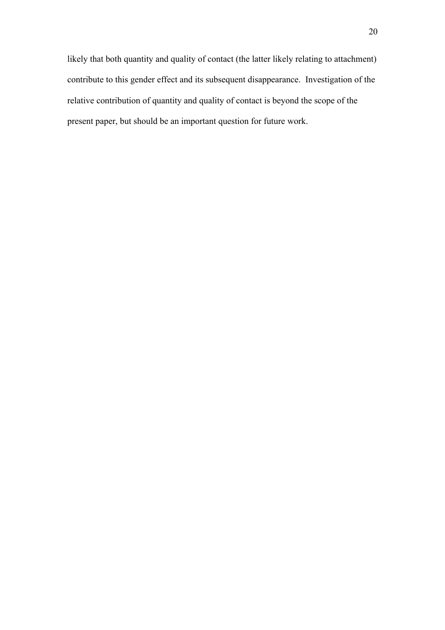likely that both quantity and quality of contact (the latter likely relating to attachment) contribute to this gender effect and its subsequent disappearance. Investigation of the relative contribution of quantity and quality of contact is beyond the scope of the present paper, but should be an important question for future work.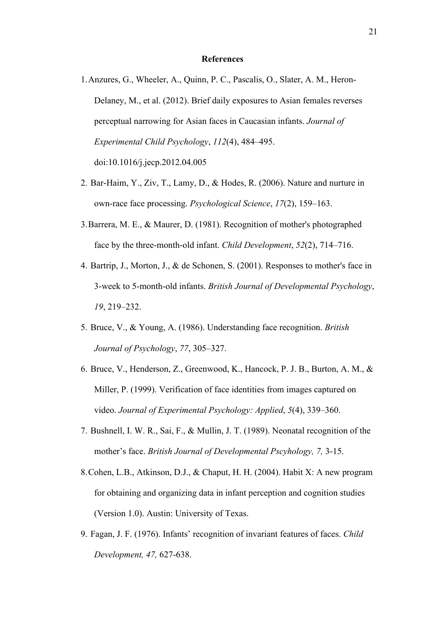#### **References**

- 1.Anzures, G., Wheeler, A., Quinn, P. C., Pascalis, O., Slater, A. M., Heron-Delaney, M., et al. (2012). Brief daily exposures to Asian females reverses perceptual narrowing for Asian faces in Caucasian infants. *Journal of Experimental Child Psychology*, *112*(4), 484–495. doi:10.1016/j.jecp.2012.04.005
- 2. Bar-Haim, Y., Ziv, T., Lamy, D., & Hodes, R. (2006). Nature and nurture in own-race face processing. *Psychological Science*, *17*(2), 159–163.
- 3.Barrera, M. E., & Maurer, D. (1981). Recognition of mother's photographed face by the three-month-old infant. *Child Development*, *52*(2), 714–716.
- 4. Bartrip, J., Morton, J., & de Schonen, S. (2001). Responses to mother's face in 3-week to 5-month-old infants. *British Journal of Developmental Psychology*, *19*, 219–232.
- 5. Bruce, V., & Young, A. (1986). Understanding face recognition. *British Journal of Psychology*, *77*, 305–327.
- 6. Bruce, V., Henderson, Z., Greenwood, K., Hancock, P. J. B., Burton, A. M., & Miller, P. (1999). Verification of face identities from images captured on video. *Journal of Experimental Psychology: Applied*, *5*(4), 339–360.
- 7. Bushnell, I. W. R., Sai, F., & Mullin, J. T. (1989). Neonatal recognition of the mother's face. *British Journal of Developmental Pscyhology, 7,* 3-15.
- 8.Cohen, L.B., Atkinson, D.J., & Chaput, H. H. (2004). Habit X: A new program for obtaining and organizing data in infant perception and cognition studies (Version 1.0). Austin: University of Texas.
- 9. Fagan, J. F. (1976). Infants' recognition of invariant features of faces. *Child Development, 47,* 627-638.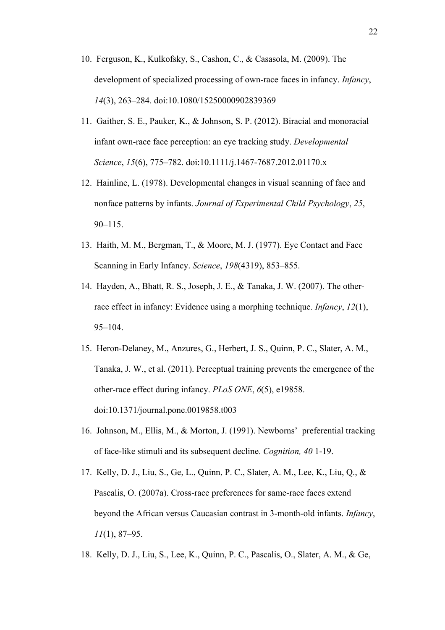- 10. Ferguson, K., Kulkofsky, S., Cashon, C., & Casasola, M. (2009). The development of specialized processing of own-race faces in infancy. *Infancy*, *14*(3), 263–284. doi:10.1080/15250000902839369
- 11. Gaither, S. E., Pauker, K., & Johnson, S. P. (2012). Biracial and monoracial infant own-race face perception: an eye tracking study. *Developmental Science*, *15*(6), 775–782. doi:10.1111/j.1467-7687.2012.01170.x
- 12. Hainline, L. (1978). Developmental changes in visual scanning of face and nonface patterns by infants. *Journal of Experimental Child Psychology*, *25*, 90–115.
- 13. Haith, M. M., Bergman, T., & Moore, M. J. (1977). Eye Contact and Face Scanning in Early Infancy. *Science*, *198*(4319), 853–855.
- 14. Hayden, A., Bhatt, R. S., Joseph, J. E., & Tanaka, J. W. (2007). The otherrace effect in infancy: Evidence using a morphing technique. *Infancy*, *12*(1), 95–104.
- 15. Heron-Delaney, M., Anzures, G., Herbert, J. S., Quinn, P. C., Slater, A. M., Tanaka, J. W., et al. (2011). Perceptual training prevents the emergence of the other-race effect during infancy. *PLoS ONE*, *6*(5), e19858. doi:10.1371/journal.pone.0019858.t003
- 16. Johnson, M., Ellis, M., & Morton, J. (1991). Newborns' preferential tracking of face-like stimuli and its subsequent decline. *Cognition, 40* 1-19.
- 17. Kelly, D. J., Liu, S., Ge, L., Quinn, P. C., Slater, A. M., Lee, K., Liu, Q., & Pascalis, O. (2007a). Cross-race preferences for same-race faces extend beyond the African versus Caucasian contrast in 3-month-old infants. *Infancy*, *11*(1), 87–95.
- 18. Kelly, D. J., Liu, S., Lee, K., Quinn, P. C., Pascalis, O., Slater, A. M., & Ge,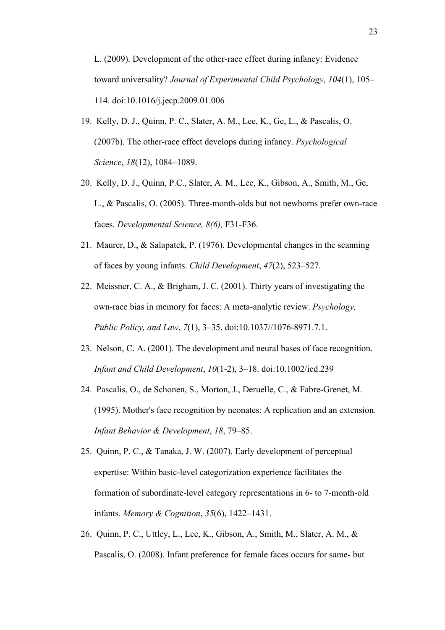L. (2009). Development of the other-race effect during infancy: Evidence toward universality? *Journal of Experimental Child Psychology*, *104*(1), 105– 114. doi:10.1016/j.jecp.2009.01.006

- 19. Kelly, D. J., Quinn, P. C., Slater, A. M., Lee, K., Ge, L., & Pascalis, O. (2007b). The other-race effect develops during infancy. *Psychological Science*, *18*(12), 1084–1089.
- 20. Kelly, D. J., Quinn, P.C., Slater, A. M., Lee, K., Gibson, A., Smith, M., Ge, L., & Pascalis, O. (2005). Three-month-olds but not newborns prefer own-race faces. *Developmental Science, 8(6),* F31-F36.
- 21. Maurer, D., & Salapatek, P. (1976). Developmental changes in the scanning of faces by young infants. *Child Development*, *47*(2), 523–527.
- 22. Meissner, C. A., & Brigham, J. C. (2001). Thirty years of investigating the own-race bias in memory for faces: A meta-analytic review. *Psychology, Public Policy, and Law*, *7*(1), 3–35. doi:10.1037//1076-8971.7.1.
- 23. Nelson, C. A. (2001). The development and neural bases of face recognition. *Infant and Child Development*, *10*(1-2), 3–18. doi:10.1002/icd.239
- 24. Pascalis, O., de Schonen, S., Morton, J., Deruelle, C., & Fabre-Grenet, M. (1995). Mother's face recognition by neonates: A replication and an extension. *Infant Behavior & Development*, *18*, 79–85.
- 25. Quinn, P. C., & Tanaka, J. W. (2007). Early development of perceptual expertise: Within basic-level categorization experience facilitates the formation of subordinate-level category representations in 6- to 7-month-old infants. *Memory & Cognition*, *35*(6), 1422–1431.
- 26. Quinn, P. C., Uttley, L., Lee, K., Gibson, A., Smith, M., Slater, A. M., & Pascalis, O. (2008). Infant preference for female faces occurs for same- but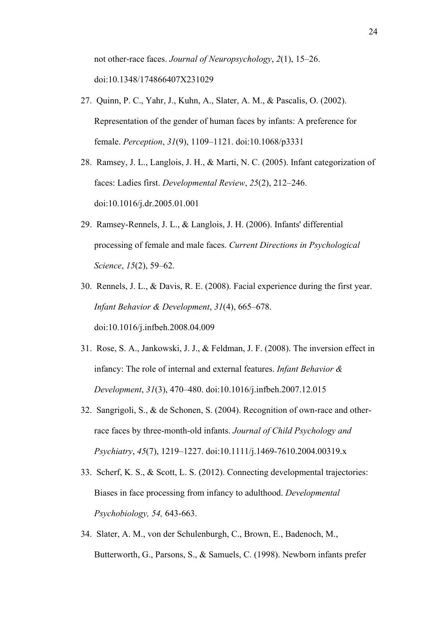not other-race faces. *Journal of Neuropsychology*, *2*(1), 15–26. doi:10.1348/174866407X231029

- 27. Quinn, P. C., Yahr, J., Kuhn, A., Slater, A. M., & Pascalis, O. (2002). Representation of the gender of human faces by infants: A preference for female. *Perception*, *31*(9), 1109–1121. doi:10.1068/p3331
- 28. Ramsey, J. L., Langlois, J. H., & Marti, N. C. (2005). Infant categorization of faces: Ladies first. *Developmental Review*, *25*(2), 212–246. doi:10.1016/j.dr.2005.01.001
- 29. Ramsey-Rennels, J. L., & Langlois, J. H. (2006). Infants' differential processing of female and male faces. *Current Directions in Psychological Science*, *15*(2), 59–62.
- 30. Rennels, J. L., & Davis, R. E. (2008). Facial experience during the first year. *Infant Behavior & Development*, *31*(4), 665–678. doi:10.1016/j.infbeh.2008.04.009
- 31. Rose, S. A., Jankowski, J. J., & Feldman, J. F. (2008). The inversion effect in infancy: The role of internal and external features. *Infant Behavior & Development*, *31*(3), 470–480. doi:10.1016/j.infbeh.2007.12.015
- 32. Sangrigoli, S., & de Schonen, S. (2004). Recognition of own-race and otherrace faces by three-month-old infants. *Journal of Child Psychology and Psychiatry*, *45*(7), 1219–1227. doi:10.1111/j.1469-7610.2004.00319.x
- 33. Scherf, K. S., & Scott, L. S. (2012). Connecting developmental trajectories: Biases in face processing from infancy to adulthood. *Developmental Psychobiology, 54,* 643-663.
- 34. Slater, A. M., von der Schulenburgh, C., Brown, E., Badenoch, M., Butterworth, G., Parsons, S., & Samuels, C. (1998). Newborn infants prefer